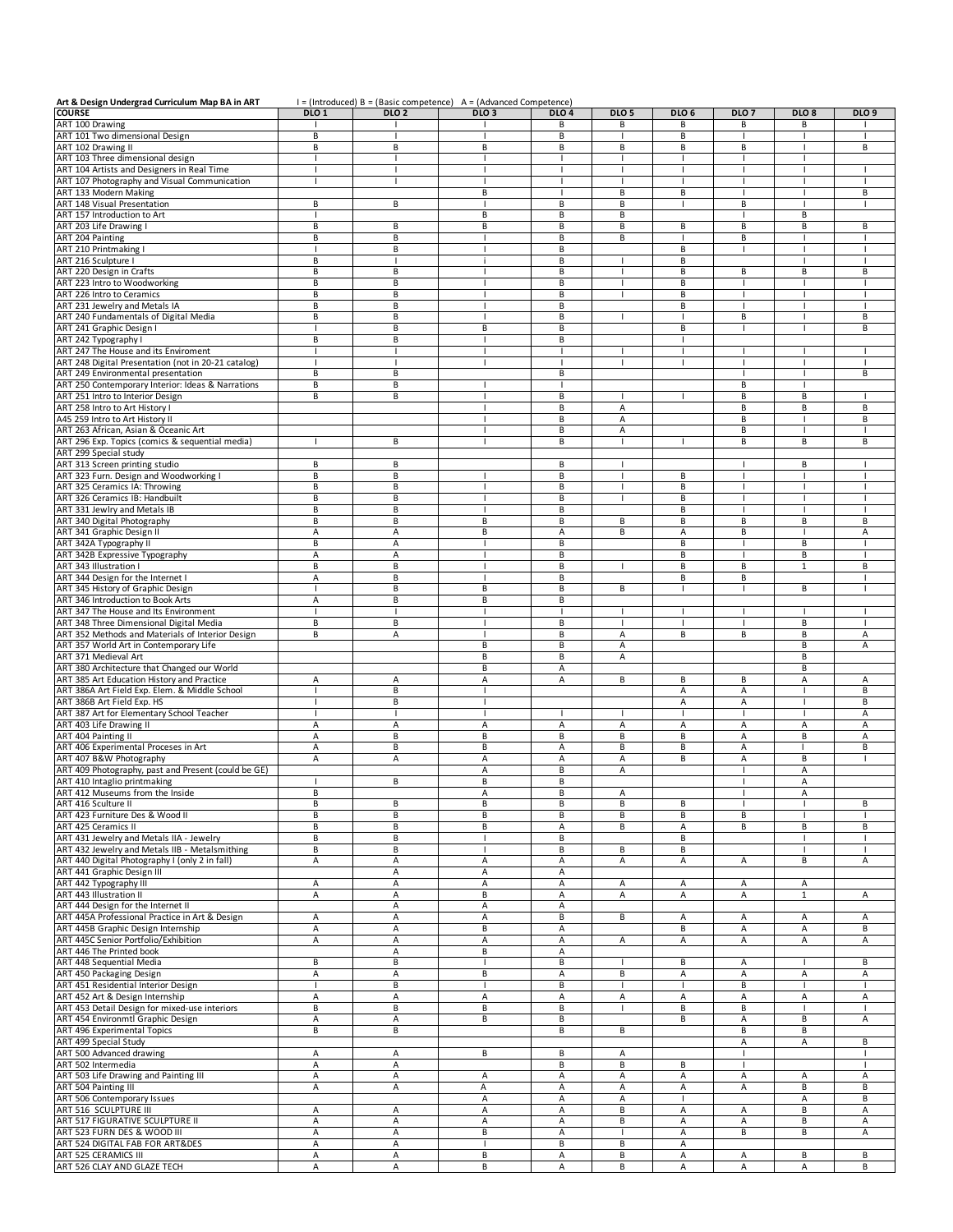| Art & Design Undergrad Curriculum Map BA in ART     |                          |                  | I = (Introduced) B = (Basic competence) A = (Advanced Competence) |                  |                  |                          |                  |                          |              |
|-----------------------------------------------------|--------------------------|------------------|-------------------------------------------------------------------|------------------|------------------|--------------------------|------------------|--------------------------|--------------|
| <b>COURSE</b>                                       | DLO <sub>1</sub>         | DLO <sub>2</sub> | DLO <sub>3</sub>                                                  | DLO <sub>4</sub> | DLO <sub>5</sub> | DLO <sub>6</sub>         | DLO <sub>7</sub> | DLO <sub>8</sub>         | <b>DLO 9</b> |
| ART 100 Drawing                                     |                          |                  |                                                                   | В                | В                | В                        | В                | В                        |              |
| ART 101 Two dimensional Design                      | B                        |                  |                                                                   | B                |                  | B                        |                  |                          |              |
| ART 102 Drawing II                                  | B                        | B                | B                                                                 | В                | В                | B                        | B                | ı                        | В            |
| ART 103 Three dimensional design                    |                          |                  | I                                                                 | T                |                  |                          |                  | J.                       |              |
| ART 104 Artists and Designers in Real Time          |                          |                  |                                                                   |                  |                  |                          |                  |                          |              |
| ART 107 Photography and Visual Communication        |                          | $\mathbf{I}$     | п                                                                 | $\mathbf{I}$     | п                |                          | п                | $\mathbf{I}$             |              |
| ART 133 Modern Making                               |                          |                  | B                                                                 |                  | B                | B                        |                  |                          | B            |
| ART 148 Visual Presentation                         | В                        | В                | $\mathbf{I}$                                                      | В                | В                | -1                       | В                | $\mathbf{I}$             |              |
| ART 157 Introduction to Art                         |                          |                  | B                                                                 | B                | В                |                          |                  | B                        |              |
| ART 203 Life Drawing I                              | B                        | B                | B                                                                 | B                | В                | B                        | B                | B                        | B            |
| ART 204 Painting                                    | В                        | B                |                                                                   | B                | B                |                          | B                | $\overline{1}$           |              |
|                                                     |                          |                  | ı                                                                 |                  |                  | B                        |                  | ı                        |              |
| ART 210 Printmaking I                               |                          | B                |                                                                   | B                |                  | B                        |                  | $\mathbf{I}$             |              |
| ART 216 Sculpture I<br>ART 220 Design in Crafts     | B                        | $\mathbf{I}$     | j.                                                                | В                | $\mathbf{I}$     |                          |                  |                          |              |
|                                                     | B                        | B                | п                                                                 | В                | 1                | B                        | B                | B                        | B            |
| ART 223 Intro to Woodworking                        | B                        | B                | $\overline{\phantom{a}}$                                          | B                | $\overline{1}$   | B                        | -1               | $\mathbf{I}$             |              |
| ART 226 Intro to Ceramics                           | B                        | B                | J.                                                                | В                | J.               | B                        | п                | $\overline{\phantom{a}}$ |              |
| ART 231 Jewelry and Metals IA                       | B                        | B                | J.                                                                | В                |                  | B                        | л                | ı                        |              |
| ART 240 Fundamentals of Digital Media               | B                        | B                |                                                                   | B                | п                |                          | B                | I                        | B            |
| ART 241 Graphic Design I                            |                          | B                | B                                                                 | B                |                  | B                        |                  | ı                        | В            |
| ART 242 Typography I                                | B                        | B                | $\mathbf{I}$                                                      | B                |                  | <b>I</b>                 |                  |                          |              |
| ART 247 The House and its Enviroment                |                          |                  | п                                                                 | -1               |                  |                          |                  |                          |              |
| ART 248 Digital Presentation (not in 20-21 catalog) | $\mathbf{I}$             | $\mathbf{I}$     | $\blacksquare$                                                    | T                | -1               | -1                       | $\mathbf{I}$     | $\mathbf{I}$             |              |
| ART 249 Environmental presentation                  | B                        | B                |                                                                   | B                |                  |                          |                  | П                        | B            |
| ART 250 Contemporary Interior: Ideas & Narrations   | B                        | B                |                                                                   |                  |                  |                          | B                | ı                        |              |
| ART 251 Intro to Interior Design                    | В                        | B                |                                                                   | B                |                  |                          | B                | В                        |              |
| ART 258 Intro to Art History I                      |                          |                  | п                                                                 | B                | А                |                          | B                | B                        | B            |
| A45 259 Intro to Art History II                     |                          |                  | $\mathbf{I}$                                                      | В                | $\overline{A}$   |                          | В                | $\mathbf{I}$             | В            |
| ART 263 African, Asian & Oceanic Art                |                          |                  | ı                                                                 | В                | Α                |                          | B                | ı                        |              |
| ART 296 Exp. Topics (comics & sequential media)     | $\mathbf{I}$             | B                | J.                                                                | B                | $\mathbf{I}$     |                          | B                | В                        | B            |
| ART 299 Special study                               |                          |                  |                                                                   |                  |                  |                          |                  |                          |              |
| ART 313 Screen printing studio                      | В                        | B                |                                                                   | В                | т                |                          |                  | В                        |              |
| ART 323 Furn. Design and Woodworking I              | В                        | B                |                                                                   | B                |                  | B                        |                  |                          |              |
| ART 325 Ceramics IA: Throwing                       | B                        | B                | п                                                                 | B                | $\mathbf{I}$     | B                        | J.               | ı                        |              |
| ART 326 Ceramics IB: Handbuilt                      | B                        | B                | $\mathbf{I}$                                                      | B                | $\mathbf{I}$     | B                        | $\mathbf{I}$     | $\mathbf{I}$             |              |
| ART 331 Jewlry and Metals IB                        | В                        | В                |                                                                   | B                |                  | B                        |                  | ı                        |              |
| ART 340 Digital Photography                         | B                        | B                | B                                                                 | В                | В                | В                        | B                | B                        | B            |
| ART 341 Graphic Design II                           | Α                        | Α                | B                                                                 | Α                | B                | Α                        | B                |                          | Α            |
| ART 342A Typography II                              | В                        | Α                | ı                                                                 | В                |                  | B                        |                  | B                        |              |
|                                                     |                          |                  |                                                                   | B                |                  | B                        |                  | B                        |              |
| ART 342B Expressive Typography                      | Α                        | A<br>B           | ı                                                                 |                  |                  | B                        |                  |                          | B            |
| ART 343 Illustration I                              | B                        |                  |                                                                   | B                |                  |                          | B                | $\mathbf 1$              |              |
| ART 344 Design for the Internet I                   | Α                        | B                | $\mathbf{I}$                                                      | В                |                  | B                        | В                |                          |              |
| ART 345 History of Graphic Design                   |                          | B                | B                                                                 | B                | В                |                          |                  | B                        |              |
| ART 346 Introduction to Book Arts                   | Α                        | B                | B                                                                 | B                |                  |                          |                  |                          |              |
| ART 347 The House and Its Environment               |                          |                  | I                                                                 |                  |                  |                          |                  |                          |              |
| ART 348 Three Dimensional Digital Media             | В                        | B                | п                                                                 | В                | 1                |                          |                  | В                        |              |
| ART 352 Methods and Materials of Interior Design    | B                        | Α                |                                                                   | B                | А                | B                        | B                | B                        | Α            |
| ART 357 World Art in Contemporary Life              |                          |                  | B                                                                 | B                | А                |                          |                  | B                        | A            |
| ART 371 Medieval Art                                |                          |                  | B                                                                 | B                | A                |                          |                  | B                        |              |
| ART 380 Architecture that Changed our World         |                          |                  | B                                                                 | А                |                  |                          |                  | B                        |              |
| ART 385 Art Education History and Practice          | Α                        | Α                | Α                                                                 | Α                | В                | В                        | В                | Α                        | Α            |
| ART 386A Art Field Exp. Elem. & Middle School       |                          | B                | I                                                                 |                  |                  | Α                        | A                | I                        | B            |
| ART 386B Art Field Exp. HS                          | -1                       | B                | п                                                                 |                  |                  | A                        | А                | J.                       | В            |
| ART 387 Art for Elementary School Teacher           |                          | $\blacksquare$   | I                                                                 |                  |                  |                          | $\blacksquare$   | $\overline{\phantom{a}}$ | Α            |
| ART 403 Life Drawing II                             | Α                        | Α                | A                                                                 | Α                | А                | $\overline{A}$           | А                | А                        | A            |
| ART 404 Painting II                                 | Α                        | B                | B                                                                 | В                | В                | B                        | А                | В                        | Α            |
| ART 406 Experimental Proceses in Art                | Α                        | B                | B                                                                 | Α                | В                | B                        | A                | ı                        | B            |
| ART 407 B&W Photography                             | Α                        | Α                | Α                                                                 | Α                | Α                | B                        | A                | B                        |              |
| ART 409 Photography, past and Present (could be GE) |                          |                  | А                                                                 | B                | A                |                          |                  | Α                        |              |
| ART 410 Intaglio printmaking                        | $\mathbf{I}$             | В                | В                                                                 | В                |                  |                          | т                | А                        |              |
| ART 412 Museums from the Inside                     | <b>B</b>                 |                  |                                                                   | R                | A                |                          |                  |                          |              |
| ART 416 Sculture II                                 | B                        | B                | B                                                                 | B                | B                | B                        | -1               | $\mathbf{I}$             | B            |
| ART 423 Furniture Des & Wood II                     | B                        | В                | B                                                                 | В                | В                | В                        | В                | $\mathbf{I}$             | -1           |
| <b>ART 425 Ceramics II</b>                          | B                        | B                | В                                                                 | А                | В                | А                        | В                | В                        | В            |
| ART 431 Jewelry and Metals IIA - Jewelry            | В                        | B                | -1                                                                | В                |                  | B                        |                  | -1                       |              |
| ART 432 Jewelry and Metals IIB - Metalsmithing      | В                        | B                | I                                                                 | B                | В                | В                        |                  |                          |              |
| ART 440 Digital Photography I (only 2 in fall)      | Α                        | Α                | Α                                                                 | Α                | А                | Α                        | Α                | В                        | Α            |
| ART 441 Graphic Design III                          |                          | Α                | Α                                                                 | Α                |                  |                          |                  |                          |              |
| ART 442 Typography III                              | Α                        | Α                | Α                                                                 | А                | Α                | Α                        | Α                | Α                        |              |
| ART 443 Illustration II                             | Α                        | Α                | B                                                                 | Α                | A                | $\overline{A}$           | Α                | 1                        | Α            |
| ART 444 Design for the Internet II                  |                          | Α                | Α                                                                 | Α                |                  |                          |                  |                          |              |
| ART 445A Professional Practice in Art & Design      |                          | Α                | Α                                                                 | B                | В                | Α                        | Α                |                          | Α            |
|                                                     | Α<br>Α                   | Α                | В                                                                 | Α                |                  | В                        | Α                | Α<br>А                   | В            |
| ART 445B Graphic Design Internship                  |                          |                  |                                                                   |                  |                  |                          |                  |                          |              |
| ART 445C Senior Portfolio/Exhibition                | Α                        | Α                | Α                                                                 | Α                | Α                | А                        | А                | А                        | Α            |
| ART 446 The Printed book                            |                          | Α                | В                                                                 | Α                |                  |                          |                  |                          |              |
| ART 448 Sequential Media                            | B                        | B                | $\mathbf{I}$                                                      | B                | -1               | B                        | А                | -1                       | B            |
| ART 450 Packaging Design                            | Α                        | Α                | B                                                                 | Α                | В                | Α                        | A                | Α                        | Α            |
| ART 451 Residential Interior Design                 | $\overline{\phantom{a}}$ | B                | $\mathbf{I}$                                                      | B                |                  | $\overline{\phantom{a}}$ | В                | $\mathbf{I}$             | $\mathbf{I}$ |
| ART 452 Art & Design Internship                     | Α                        | Α                | Α                                                                 | Α                | А                | Α                        | Α                | Α                        | Α            |
| ART 453 Detail Design for mixed-use interiors       | В                        | B                | В                                                                 | В                |                  | В                        | B                | $\mathbf{I}$             |              |
| ART 454 Environmtl Graphic Design                   | Α                        | Α                | В                                                                 | В                |                  | В                        | Α                | В                        | Α            |
| ART 496 Experimental Topics                         | B                        | B                |                                                                   | B                | В                |                          | В                | В                        |              |
| ART 499 Special Study                               |                          |                  |                                                                   |                  |                  |                          | А                | А                        | В            |
| ART 500 Advanced drawing                            | Α                        | Α                | В                                                                 | В                | Α                |                          | $\mathbf{I}$     |                          | л.           |
| ART 502 Intermedia                                  | Α                        | Α                |                                                                   | В                | В                | В                        | $\mathbf{I}$     |                          | T            |
| ART 503 Life Drawing and Painting III               | Α                        | Α                | Α                                                                 | Α                | Α                | А                        | А                | Α                        | Α            |
| ART 504 Painting III                                | Α                        | Α                | Α                                                                 | Α                | Α                | Α                        | Α                | B                        | В            |
| ART 506 Contemporary Issues                         |                          |                  | Α                                                                 | Α                | А                |                          |                  | А                        | В            |
| ART 516 SCULPTURE III                               | Α                        | Α                | Α                                                                 | Α                | В                | A                        | Α                | B                        | A            |
| ART 517 FIGURATIVE SCULPTURE II                     | Α                        | Α                | Α                                                                 | Α                | В                | Α                        | А                | В                        | Α            |
| ART 523 FURN DES & WOOD III                         | Α                        | Α                | B                                                                 | Α                | $\mathbf{I}$     | A                        | В                | В                        | А            |
| ART 524 DIGITAL FAB FOR ART&DES                     | Α                        | Α                | $\mathbf{I}$                                                      | В                | В                | Α                        |                  |                          |              |
| ART 525 CERAMICS III                                | Α                        | Α                | B                                                                 | Α                | В                | Α                        | А                | В                        | В            |
|                                                     | Α                        | Α                | В                                                                 | Α                | В                | Α                        | А                | А                        | В            |